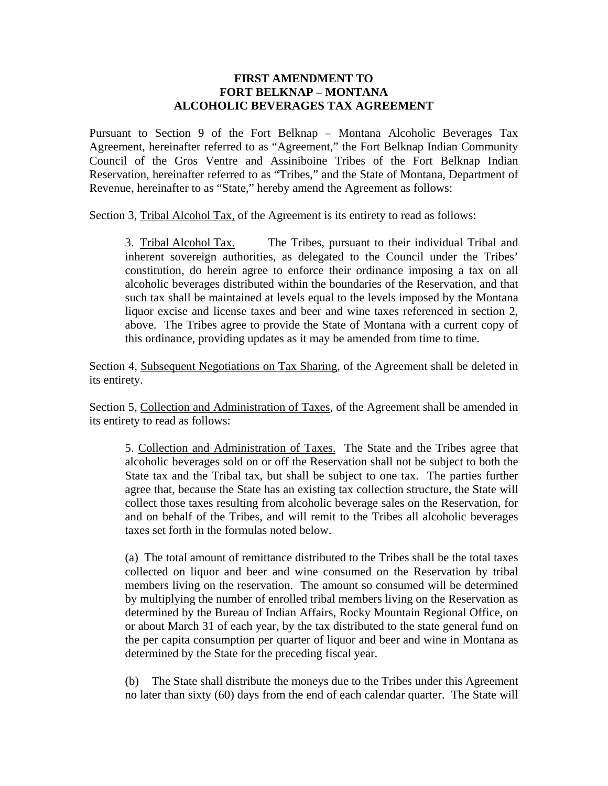## **FIRST AMENDMENT TO FORT BELKNAP – MONTANA ALCOHOLIC BEVERAGES TAX AGREEMENT**

Pursuant to Section 9 of the Fort Belknap – Montana Alcoholic Beverages Tax Agreement, hereinafter referred to as "Agreement," the Fort Belknap Indian Community Council of the Gros Ventre and Assiniboine Tribes of the Fort Belknap Indian Reservation, hereinafter referred to as "Tribes," and the State of Montana, Department of Revenue, hereinafter to as "State," hereby amend the Agreement as follows:

Section 3, Tribal Alcohol Tax, of the Agreement is its entirety to read as follows:

 3. Tribal Alcohol Tax. The Tribes, pursuant to their individual Tribal and inherent sovereign authorities, as delegated to the Council under the Tribes' constitution, do herein agree to enforce their ordinance imposing a tax on all alcoholic beverages distributed within the boundaries of the Reservation, and that such tax shall be maintained at levels equal to the levels imposed by the Montana liquor excise and license taxes and beer and wine taxes referenced in section 2, above. The Tribes agree to provide the State of Montana with a current copy of this ordinance, providing updates as it may be amended from time to time.

Section 4, Subsequent Negotiations on Tax Sharing, of the Agreement shall be deleted in its entirety.

Section 5, Collection and Administration of Taxes, of the Agreement shall be amended in its entirety to read as follows:

5. Collection and Administration of Taxes. The State and the Tribes agree that alcoholic beverages sold on or off the Reservation shall not be subject to both the State tax and the Tribal tax, but shall be subject to one tax. The parties further agree that, because the State has an existing tax collection structure, the State will collect those taxes resulting from alcoholic beverage sales on the Reservation, for and on behalf of the Tribes, and will remit to the Tribes all alcoholic beverages taxes set forth in the formulas noted below.

(a) The total amount of remittance distributed to the Tribes shall be the total taxes collected on liquor and beer and wine consumed on the Reservation by tribal members living on the reservation. The amount so consumed will be determined by multiplying the number of enrolled tribal members living on the Reservation as determined by the Bureau of Indian Affairs, Rocky Mountain Regional Office, on or about March 31 of each year, by the tax distributed to the state general fund on the per capita consumption per quarter of liquor and beer and wine in Montana as determined by the State for the preceding fiscal year.

(b) The State shall distribute the moneys due to the Tribes under this Agreement no later than sixty (60) days from the end of each calendar quarter. The State will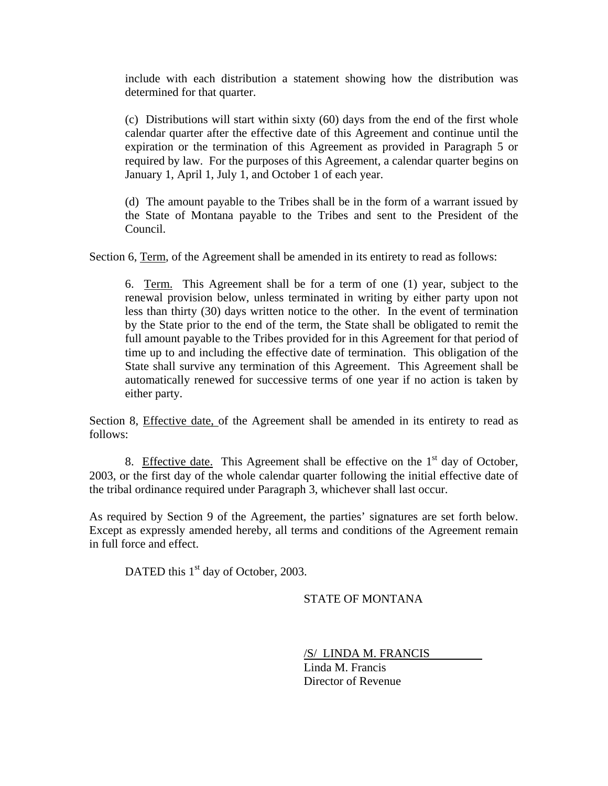include with each distribution a statement showing how the distribution was determined for that quarter.

(c) Distributions will start within sixty (60) days from the end of the first whole calendar quarter after the effective date of this Agreement and continue until the expiration or the termination of this Agreement as provided in Paragraph 5 or required by law. For the purposes of this Agreement, a calendar quarter begins on January 1, April 1, July 1, and October 1 of each year.

(d) The amount payable to the Tribes shall be in the form of a warrant issued by the State of Montana payable to the Tribes and sent to the President of the Council.

Section 6, Term, of the Agreement shall be amended in its entirety to read as follows:

 6. Term. This Agreement shall be for a term of one (1) year, subject to the renewal provision below, unless terminated in writing by either party upon not less than thirty (30) days written notice to the other. In the event of termination by the State prior to the end of the term, the State shall be obligated to remit the full amount payable to the Tribes provided for in this Agreement for that period of time up to and including the effective date of termination. This obligation of the State shall survive any termination of this Agreement. This Agreement shall be automatically renewed for successive terms of one year if no action is taken by either party.

Section 8, Effective date, of the Agreement shall be amended in its entirety to read as follows:

8. Effective date. This Agreement shall be effective on the  $1<sup>st</sup>$  day of October, 2003, or the first day of the whole calendar quarter following the initial effective date of the tribal ordinance required under Paragraph 3, whichever shall last occur.

As required by Section 9 of the Agreement, the parties' signatures are set forth below. Except as expressly amended hereby, all terms and conditions of the Agreement remain in full force and effect.

DATED this  $1<sup>st</sup>$  day of October, 2003.

## STATE OF MONTANA

/S/ LINDA M. FRANCIS

 Linda M. Francis Director of Revenue